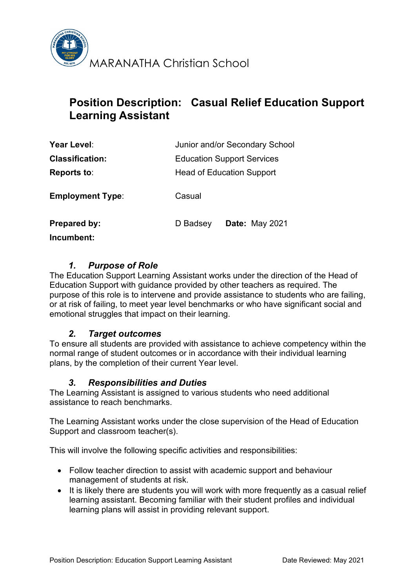

# **Position Description: Casual Relief Education Support Learning Assistant**

| Year Level:                       | Junior and/or Secondary School    |
|-----------------------------------|-----------------------------------|
| <b>Classification:</b>            | <b>Education Support Services</b> |
| Reports to:                       | <b>Head of Education Support</b>  |
| <b>Employment Type:</b>           | Casual                            |
| <b>Prepared by:</b><br>Incumbent: | <b>Date: May 2021</b><br>D Badsey |

# *1. Purpose of Role*

The Education Support Learning Assistant works under the direction of the Head of Education Support with guidance provided by other teachers as required. The purpose of this role is to intervene and provide assistance to students who are failing, or at risk of failing, to meet year level benchmarks or who have significant social and emotional struggles that impact on their learning.

## *2. Target outcomes*

To ensure all students are provided with assistance to achieve competency within the normal range of student outcomes or in accordance with their individual learning plans, by the completion of their current Year level.

## *3. Responsibilities and Duties*

The Learning Assistant is assigned to various students who need additional assistance to reach benchmarks.

The Learning Assistant works under the close supervision of the Head of Education Support and classroom teacher(s).

This will involve the following specific activities and responsibilities:

- Follow teacher direction to assist with academic support and behaviour management of students at risk.
- It is likely there are students you will work with more frequently as a casual relief learning assistant. Becoming familiar with their student profiles and individual learning plans will assist in providing relevant support.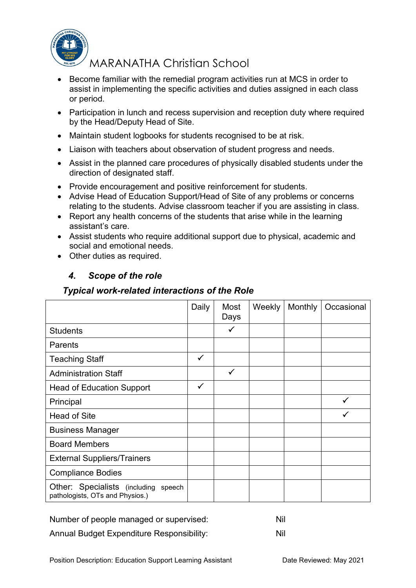

MARANATHA Christian School

- Become familiar with the remedial program activities run at MCS in order to assist in implementing the specific activities and duties assigned in each class or period.
- Participation in lunch and recess supervision and reception duty where required by the Head/Deputy Head of Site.
- Maintain student logbooks for students recognised to be at risk.
- Liaison with teachers about observation of student progress and needs.
- Assist in the planned care procedures of physically disabled students under the direction of designated staff.
- Provide encouragement and positive reinforcement for students.
- Advise Head of Education Support/Head of Site of any problems or concerns relating to the students. Advise classroom teacher if you are assisting in class.
- Report any health concerns of the students that arise while in the learning assistant's care.
- Assist students who require additional support due to physical, academic and social and emotional needs.
- Other duties as required.

# *4. Scope of the role*

## *Typical work-related interactions of the Role*

|                                                                            | Daily | Most<br>Days | Weekly | Monthly | Occasional |
|----------------------------------------------------------------------------|-------|--------------|--------|---------|------------|
| <b>Students</b>                                                            |       | $\checkmark$ |        |         |            |
| <b>Parents</b>                                                             |       |              |        |         |            |
| <b>Teaching Staff</b>                                                      | ✓     |              |        |         |            |
| <b>Administration Staff</b>                                                |       | $\checkmark$ |        |         |            |
| <b>Head of Education Support</b>                                           | ✓     |              |        |         |            |
| Principal                                                                  |       |              |        |         |            |
| <b>Head of Site</b>                                                        |       |              |        |         |            |
| <b>Business Manager</b>                                                    |       |              |        |         |            |
| <b>Board Members</b>                                                       |       |              |        |         |            |
| <b>External Suppliers/Trainers</b>                                         |       |              |        |         |            |
| <b>Compliance Bodies</b>                                                   |       |              |        |         |            |
| Other: Specialists (including<br>speech<br>pathologists, OTs and Physios.) |       |              |        |         |            |

Number of people managed or supervised: Nil Annual Budget Expenditure Responsibility: Nil